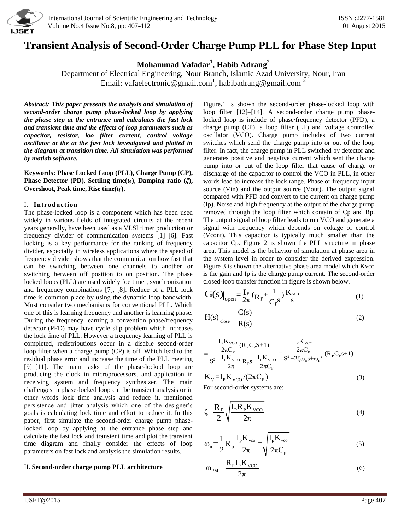

# **Transient Analysis of Second-Order Charge Pump PLL for Phase Step Input**

**Mohammad Vafadar<sup>1</sup> , Habib Adrang<sup>2</sup>**

Department of Electrical Engineering, Nour Branch, Islamic Azad University, Nour, Iran Email: [vafaelectronic@gmail.com](mailto:vafaelectronic@gmail.com)<sup>1</sup>, habibadrang@gmail.com<sup>2</sup>

*Abstract: This paper presents the analysis and simulation of second-order charge pump phase-locked loop by applying the phase step at the entrance and calculates the fast lock and transient time and the effects of loop parameters such as capacitor, resistor, loo filter current, control voltage oscillator at the at the fast lock investigated and plotted in the diagram at transition time. All simulation was performed by matlab software.*

**Keywords: Phase Locked Loop (PLL), Charge Pump (CP), Phase Detector (PD), Settling time(***ts***), Damping ratio (***ξ***), Overshoot, Peak time, Rise time(***tr***).**

# I. **Introduction**

The phase-locked loop is a component which has been used widely in various fields of integrated circuits at the recent years generally, have been used as a VLSI timer production or frequency divider of communication systems [1]–[6]. Fast locking is a key performance for the ranking of frequency divider, especially in wireless applications where the speed of frequency divider shows that the communication how fast that can be switching between one channels to another or switching between off position to on position. The phase locked loops (PLL) are used widely foe timer, synchronization and frequency combinations [7], [8]. Reduce of a PLL lock time is common place by using the dynamic loop bandwidth. Must consider two mechanisms for conventional PLL. Which one of this is learning frequency and another is learning phase. During the frequency learning a convention phase/frequency detector (PFD) may have cycle slip problem which increases the lock time of PLL. However a frequency learning of PLL is completed, redistributions occur in a disable second-order loop filter when a charge pump (CP) is off. Which lead to the residual phase error and increase the time of the PLL meeting [9]–[11]. The main tasks of the phase-locked loop are producing the clock in microprocessors, and application in receiving system and frequency synthesizer. The main challenges in phase-locked loop can be transient analysis or in other words lock time analysis and reduce it, mentioned persistence and jitter analysis which one of the designer's goals is calculating lock time and effort to reduce it. In this paper, first simulate the second-order charge pump phaselocked loop by applying at the entrance phase step and calculate the fast lock and transient time and plot the transient time diagram and finally consider the effects of loop parameters on fast lock and analysis the simulation results.

# II. **Second-order charge pump PLL architecture**

Figure.1 is shown the second-order phase-locked loop with loop filter [12]–[14]. A second-order charge pump phaselocked loop is include of phase/frequency detector (PFD), a charge pump (CP), a loop filter (LF) and voltage controlled oscillator (VCO). Charge pump includes of two current switches which send the charge pump into or out of the loop filter. In fact, the charge pump in PLL switched by detector and generates positive and negative current which sent the charge pump into or out of the loop filter that cause of charge or discharge of the capacitor to control the VCO in PLL, in other words lead to increase the lock range. Phase or frequency input source (Vin) and the output source (Vout). The output signal compared with PFD and convert to the current on charge pump (Ip). Noise and high frequency at the output of the charge pump removed through the loop filter which contain of Cp and Rp. The output signal of loop filter leads to run VCO and generate a signal with frequency which depends on voltage of control (Vcont). This capacitor is typically much smaller than the capacitor Cp. Figure 2 is shown the PLL structure in phase area. This model is the behavior of simulation at phase area in the system level in order to consider the derived expression. Figure 3 is shown the alternative phase area model which Kvco is the gain and Ip is the charge pump current. The second-order closed-loop transfer function in figure is shown below.

$$
\left.G(s)\right|_{open} = \frac{I_P}{2\pi} (R_P + \frac{1}{C_P^S}) \frac{K_{vco}}{s}
$$
 (1)

$$
H(s)\Big|_{\text{close}} = \frac{C(s)}{R(s)}\tag{2}
$$

$$
K(S)
$$
\n
$$
= \frac{I_{P}K_{VCO}}{2\pi C_{P}}(R_{P}C_{P}S+1)
$$
\n
$$
= \frac{I_{P}K_{VCO}}{S^{2} + I_{P}K_{VCO}}R_{P}S + \frac{I_{P}K_{VCO}}{2\pi C_{P}} = \frac{I_{P}K_{VCO}}{S^{2} + 2\xi\omega_{n}s + \omega_{n}^{2}}(R_{P}C_{P}S+1)
$$
\n
$$
K_{V} = I_{P}K_{VCO}/(2\pi C_{P})
$$
\n(3)

For second-order systems are:

$$
\zeta = \frac{R_P}{2} \sqrt{\frac{I_P R_P K_{VCO}}{2\pi}}
$$
\n(4)

$$
\omega_{n} = \frac{1}{2} R_{p} \frac{I_{p} K_{vco}}{2\pi} = \sqrt{\frac{I_{p} K_{vco}}{2\pi C_{p}}}
$$
(5)

$$
\omega_{\rm PM} = \frac{R_{\rm p}I_{\rm p}K_{\rm VCO}}{2\pi}
$$
\n(6)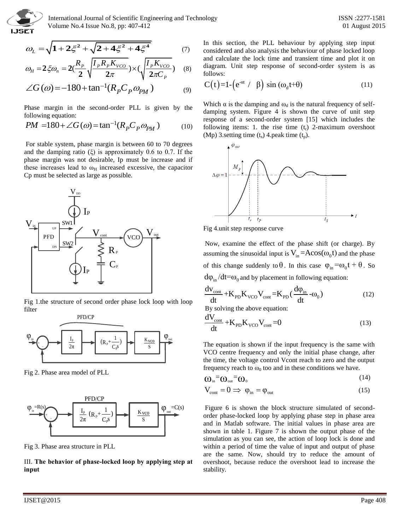

 International Journal of Scientific Engineering and Technology ISSN :2277-1581 Volume No.4 Issue No.8, pp: 407-412 01 August 2015

$$
\omega_L = \sqrt{1 + 2\zeta^2 + \sqrt{2 + 4\zeta^2 + 4\zeta^4}}
$$
(7)

$$
\omega_L = \sqrt{1 + 2\xi^2 + \sqrt{2 + 4\xi^2 + 4\xi^4}} \tag{7}
$$
\n
$$
\omega_H = 2\xi\omega_n = 2(\frac{R_p}{2}\sqrt{\frac{I_p R_p K_{VCO}}{2\pi}}) \times (\sqrt{\frac{I_p K_{VCO}}{2\pi C_p}}) \tag{8}
$$

$$
\angle G(\omega) = -180 + \tan^{-1}(R_p C_p \omega_{PM})
$$
 (9)

Phase margin in the second-order PLL is given by the following equation:

following equation:  
\n
$$
PM = 180 + \angle G(\omega) = \tan^{-1}(R_p C_p \omega_{PM})
$$
 (10)

For stable system, phase margin is between 60 to 70 degrees and the damping ratio  $(\xi)$  is approximately 0.6 to 0.7. If the phase margin was not desirable, Ip must be increase and if these increases lead to  $\omega_H$  increased excessive, the capacitor Cp must be selected as large as possible.



Fig 1.the structure of second order phase lock loop with loop filter



Fig 2. Phase area model of PLL



Fig 3. Phase area structure in PLL

III. **The behavior of phase-locked loop by applying step at input**

In this section, the PLL behaviour by applying step input considered and also analysis the behaviour of phase locked loop

follows:  
\n
$$
C(t)=1-(e^{-\alpha t} / \beta) \sin(\omega_d t+\theta)
$$
\n(11)

and calculate the lock time and transient time and plot it on diagram. Unit step response of second-order system is as

Which  $\alpha$  is the damping and  $\omega_d$  is the natural frequency of selfdamping system. Figure 4 is shown the curve of unit step response of a second-order system [15] which includes the following items: 1. the rise time  $(t_r)$  2-maximum overshoot (Mp) 3.setting time  $(t_s)$  4.peak time  $(t_p)$ .



Fig 4.unit step response curve

Now, examine the effect of the phase shift (or charge). By assuming the sinusoidal input is  $V_{in} = Acos(\omega_0 t)$  and the phase of this change suddenly to  $\theta$ . In this case  $\varphi_{in} = \omega_0 t + \theta$ . So  $d\phi_{\rm in}/dt = \omega_0$  and by placement in following equation:

$$
\frac{dV_{\text{cont}}}{dt} + K_{\text{PD}}K_{\text{VCO}}V_{\text{cont}} = K_{\text{PD}}\left(\frac{d\varphi_{\text{in}}}{dt} - \omega_0\right)
$$
(12)

By solving the above equation:

$$
\frac{dV_{\text{cont}}}{dt} + K_{\text{PD}} K_{\text{VCO}} V_{\text{cont}} = 0
$$
\n(13)

 $\frac{1}{2\pi}$   $\frac{1}{2\pi}$   $\frac{1}{\sqrt{1-\frac{1}{2}}\sqrt{1-\frac{1}{2}}\sqrt{1-\frac{1}{2}}\sqrt{1-\frac{1}{2}}\sqrt{1-\frac{1}{2}}\sqrt{1-\frac{1}{2}}\sqrt{1-\frac{1}{2}}\sqrt{1-\frac{1}{2}}\sqrt{1-\frac{1}{2}}\sqrt{1-\frac{1}{2}}\sqrt{1-\frac{1}{2}}\sqrt{1-\frac{1}{2}}\sqrt{1-\frac{1}{2}}\sqrt{1-\frac{1}{2}}\sqrt{1-\frac{1}{2}}\sqrt{1-\frac{1}{2}}\sqrt{1-\frac{1}{2}}\sqrt{1$ VCO centre frequency and only the initial phase change, after the time, the voltage control Vcont reach to zero and the output frequency reach to  $\omega_0$  too and in these conditions we have.

$$
\omega_{\rm in} = \omega_{\rm out} = \omega_0 \tag{14}
$$

$$
V_{\text{cont}} = 0 \implies \varphi_{\text{in}} = \varphi_{\text{out}} \tag{15}
$$

 $\frac{1}{2\pi}$   $\frac{1}{2\pi}$   $\frac{1}{2\pi}$   $\frac{1}{2\pi}$   $\frac{1}{2\pi}$   $\frac{1}{2\pi}$   $\frac{1}{2\pi}$  order phase-locked loop by applying phase step in phase area  $\varphi_{\text{out}} = C(s)$  Figure 6 is shown the block structure simulated of secondand in Matlab software. The initial values in phase area are shown in table 1. Figure 7 is shown the output phase of the simulation as you can see, the action of loop lock is done and within a period of time the value of input and output of phase are the same. Now, should try to reduce the amount of overshoot, because reduce the overshoot lead to increase the stability.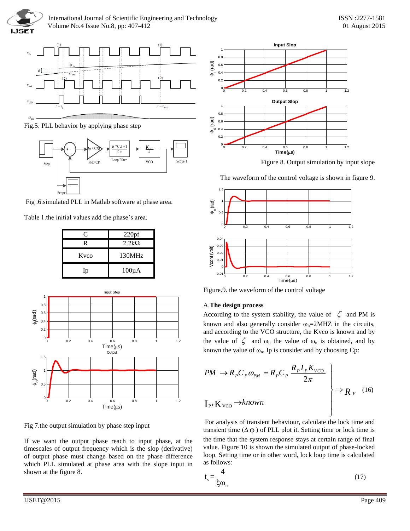



Fig.5. PLL behavior by applying phase step



Fig .6.simulated PLL in Matlab software at phase area.

Table 1.the initial values add the phase's area.

| C    | 220 <sub>pf</sub> |  |
|------|-------------------|--|
| R    | $2.2k\Omega$      |  |
| Kyco | 130MHz            |  |
| Ip   | $100\mu A$        |  |



Fig 7.the output simulation by phase step input

If we want the output phase reach to input phase, at the timescales of output frequency which is the slop (derivative) of output phase must change based on the phase difference which PLL simulated at phase area with the slope input in shown at the figure 8.



Figure 8. Output simulation by input slope

The waveform of the control voltage is shown in figure 9.



Figure.9. the waveform of the control voltage

# A.**The design process**

According to the system stability, the value of  $\zeta$  and PM is known and also generally consider  $\omega_h$ =2MHZ in the circuits, and according to the VCO structure, the Kvco is known and by the value of  $\zeta$  and  $\omega_h$  the value of  $\omega_n$  is obtained, and by

known the value of 
$$
\omega_n
$$
, Ip is consider and by choosing Cp:  
\n $PM \rightarrow R_p C_p \omega_{PM} = R_p C_p \frac{R_p I_p K_{VCO}}{2\pi}$   
\n $\Rightarrow R_p \rightarrow K_{VCO} \rightarrow known$   
\n $\Rightarrow R_p \rightarrow (16)$ 

For analysis of transient behaviour, calculate the lock time and transient time  $(\Delta \phi)$  of PLL plot it. Setting time or lock time is the time that the system response stays at certain range of final value. Figure 10 is shown the simulated output of phase-locked loop. Setting time or in other word, lock loop time is calculated as follows:

$$
t_s = \frac{4}{\xi \omega_n} \tag{17}
$$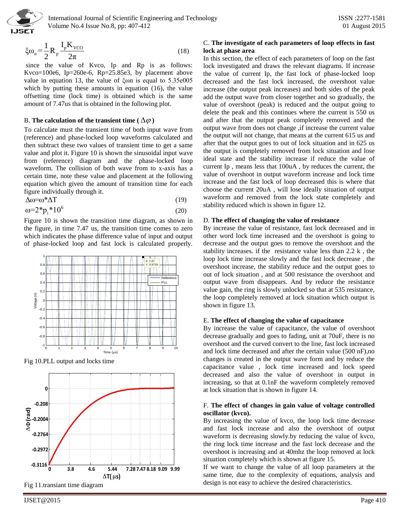

$$
\xi \omega_{\rm n} = \frac{1}{2} R_{\rm p} \frac{I_{\rm p} K_{\rm vCO}}{2\pi}
$$
 (18)

since the value of Kvco, Ip and Rp is as follows: Kvco=100e6, Ip=260e-6, Rp=25.85e3, by placement above value in equation 13, the value of ξωn is equal to 5.35e005 which by putting these amounts in equation (16), the value offsetting time (lock time) is obtained which is the same amount of 7.47us that is obtained in the following plot.

# B. The calculation of the transient time (  $\Delta \varphi$  )

To calculate must the transient time of both input wave from (reference) and phase-locked loop waveforms calculated and then subtract these two values of transient time to get a same value and plot it. Figure 10 is shown the sinusoidal input wave from (reference) diagram and the phase-locked loop waveform. The collision of both wave from to x-axis has a certain time, note these value and placement at the following equation which given the amount of transition time for each figure individually through it.

$$
\Delta \omega = \omega^* \Delta T \tag{19}
$$

$$
\omega = 2 \cdot p_i \cdot 10^6 \tag{20}
$$

Figure 10 is shown the transition time diagram, as shown in the figure, in time 7.47 us, the transition time comes to zero which indicates the phase difference value of input and output of phase-locked loop and fast lock is calculated properly.



Fig 10.PLL output and locks time



Fig 11.transiant time diagram

# C. **The investigate of each parameters of loop effects in fast lock at phase area**

Eq. 24. Notice that the state is the state in the state in the state is the state in the state is a state of the state is a state of the state is a state of the state of the state of the state of the state of the state of In this section, the effect of each parameters of loop on the fast lock investigated and draws the relevant diagrams. If increase the value of current Ip, the fast lock of phase-locked loop decreased and the fast lock increased, the overshoot value increase (the output peak increases) and both sides of the peak add the output wave from closer together and so gradually, the value of overshoot (peak) is reduced and the output going to delete the peak and this continues where the current is 550 us and after that the output peak completely removed and the output wave from does not change ,if increase the current value the output will not change, that means at the current 615 us and after that the output goes to out of lock situation and in 625 us the output is completely removed from lock situation and lose ideal state and the stability increase if reduce the value of current Ip , means less that 100uA , by reduces the current, the value of overshoot in output waveform increase and lock time increase and the fast lock of loop decreased this is where that choose the current 20uA , will lose ideally situation of output waveform and removed from the lock state completely and stability reduced which is shown in figure 12.

#### D. **The effect of changing the value of resistance**

By increase the value of resistance, fast lock decreased and in other word lock time increased and the overshoot is going to decrease and the output goes to remove the overshoot and the stability increases. if the resistance value less than 2.2 k , the loop lock time increase slowly and the fast lock decrease , the overshoot increase, the stability reduce and the output goes to out of lock situation , and at 500 resistance the overshoot and output wave from disappears. And by reduce the resistance value gain, the ring is slowly unlocked so that at 535 resistance, the loop completely removed at lock situation which output is shown in figure 13.

#### E. **The effect of changing the value of capacitance**

By increase the value of capacitance, the value of overshoot decrease gradually and goes to fading, unit at 70uF, there is no overshoot and the curved convert to the line, fast lock increased and lock time decreased and after the certain value (500 nF),no changes is created in the output wave form and by reduce the capacitance value , lock time increased and lock speed decreased and also the value of overshoot in output in increasing, so that at 0.1nF the waveform completely removed at lock situation that is shown in figure 14.

# F. **The effect of changes in gain value of voltage controlled oscillator (kvco).**

By increasing the value of kvco, the loop lock time decrease and fast lock increase and also the overshoot of output waveform is decreasing slowly.by reducing the value of kvco, the ring lock time increase and the fast lock decrease and the overshoot is increasing and at 40mhz the loop removed at lock situation completely which is shown at figure 15.

If we want to change the value of all loop parameters at the same time, due to the complexity of equations, analysis and design is not easy to achieve the desired characteristics.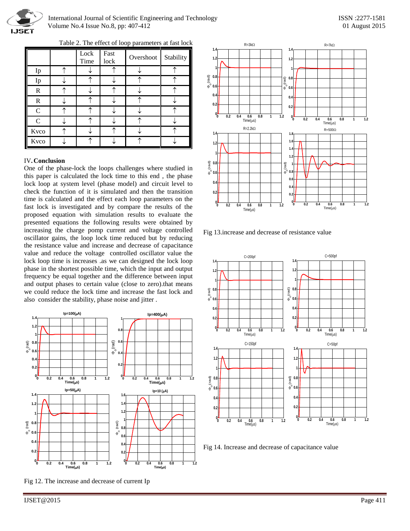

# International Journal of Scientific Engineering and Technology ISSN :2277-1581 Volume No.4 Issue No.8, pp: 407-412 01 August 2015

|               | Lock<br>Time | Fast<br>lock | Overshoot | Stability |
|---------------|--------------|--------------|-----------|-----------|
| Ip            |              |              |           |           |
| Ip            |              |              |           |           |
| $\mathbf R$   |              |              |           |           |
| $\mathbb{R}$  |              |              |           |           |
| $\mathsf{C}$  |              |              |           |           |
| $\mathcal{C}$ |              |              |           |           |
| Kvco          |              |              |           |           |
| Kvco          |              |              |           |           |

Table 2. The effect of loop parameters at fast lock

# IV**. Conclusion**

One of the phase-lock the loops challenges where studied in this paper is calculated the lock time to this end , the phase lock loop at system level (phase model) and circuit level to check the function of it is simulated and then the transition time is calculated and the effect each loop parameters on the fast lock is investigated and by compare the results of the proposed equation with simulation results to evaluate the presented equations the following results were obtained by increasing the charge pomp current and voltage controlled oscillator gains, the loop lock time reduced but by reducing the resistance value and increase and decrease of capacitance value and reduce the voltage controlled oscillator value the lock loop time is increases .as we can designed the lock loop phase in the shortest possible time, which the input and output frequency be equal together and the difference between input and output phases to certain value (close to zero).that means we could reduce the lock time and increase the fast lock and also consider the stability, phase noise and jitter .



Fig 12. The increase and decrease of current Ip



Fig 13.increase and decrease of resistance value



Fig 14. Increase and decrease of capacitance value